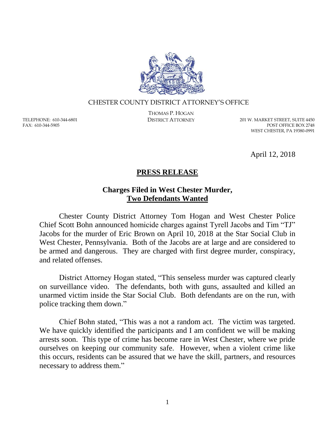

## CHESTER COUNTY DISTRICT ATTORNEY'S OFFICE

TELEPHONE: 610-344-6801 FAX: 610-344-5905

THOMAS P. HOGAN

DISTRICT ATTORNEY 201 W. MARKET STREET, SUITE 4450 POST OFFICE BOX 2748 WEST CHESTER, PA 19380-0991

April 12, 2018

## **PRESS RELEASE**

## **Charges Filed in West Chester Murder, Two Defendants Wanted**

Chester County District Attorney Tom Hogan and West Chester Police Chief Scott Bohn announced homicide charges against Tyrell Jacobs and Tim "TJ" Jacobs for the murder of Eric Brown on April 10, 2018 at the Star Social Club in West Chester, Pennsylvania. Both of the Jacobs are at large and are considered to be armed and dangerous. They are charged with first degree murder, conspiracy, and related offenses.

District Attorney Hogan stated, "This senseless murder was captured clearly on surveillance video. The defendants, both with guns, assaulted and killed an unarmed victim inside the Star Social Club. Both defendants are on the run, with police tracking them down."

Chief Bohn stated, "This was a not a random act. The victim was targeted. We have quickly identified the participants and I am confident we will be making arrests soon. This type of crime has become rare in West Chester, where we pride ourselves on keeping our community safe. However, when a violent crime like this occurs, residents can be assured that we have the skill, partners, and resources necessary to address them."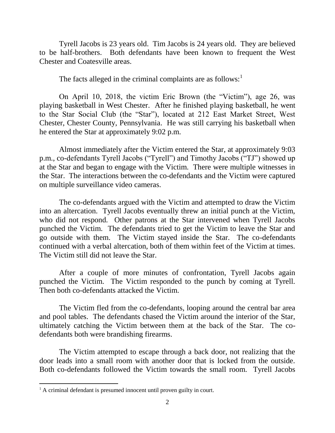Tyrell Jacobs is 23 years old. Tim Jacobs is 24 years old. They are believed to be half-brothers. Both defendants have been known to frequent the West Chester and Coatesville areas.

The facts alleged in the criminal complaints are as follows: $<sup>1</sup>$ </sup>

On April 10, 2018, the victim Eric Brown (the "Victim"), age 26, was playing basketball in West Chester. After he finished playing basketball, he went to the Star Social Club (the "Star"), located at 212 East Market Street, West Chester, Chester County, Pennsylvania. He was still carrying his basketball when he entered the Star at approximately 9:02 p.m.

Almost immediately after the Victim entered the Star, at approximately 9:03 p.m., co-defendants Tyrell Jacobs ("Tyrell") and Timothy Jacobs ("TJ") showed up at the Star and began to engage with the Victim. There were multiple witnesses in the Star. The interactions between the co-defendants and the Victim were captured on multiple surveillance video cameras.

The co-defendants argued with the Victim and attempted to draw the Victim into an altercation. Tyrell Jacobs eventually threw an initial punch at the Victim, who did not respond. Other patrons at the Star intervened when Tyrell Jacobs punched the Victim. The defendants tried to get the Victim to leave the Star and go outside with them. The Victim stayed inside the Star. The co-defendants continued with a verbal altercation, both of them within feet of the Victim at times. The Victim still did not leave the Star.

After a couple of more minutes of confrontation, Tyrell Jacobs again punched the Victim. The Victim responded to the punch by coming at Tyrell. Then both co-defendants attacked the Victim.

The Victim fled from the co-defendants, looping around the central bar area and pool tables. The defendants chased the Victim around the interior of the Star, ultimately catching the Victim between them at the back of the Star. The codefendants both were brandishing firearms.

The Victim attempted to escape through a back door, not realizing that the door leads into a small room with another door that is locked from the outside. Both co-defendants followed the Victim towards the small room. Tyrell Jacobs

 $\overline{a}$ 

<sup>&</sup>lt;sup>1</sup> A criminal defendant is presumed innocent until proven guilty in court.